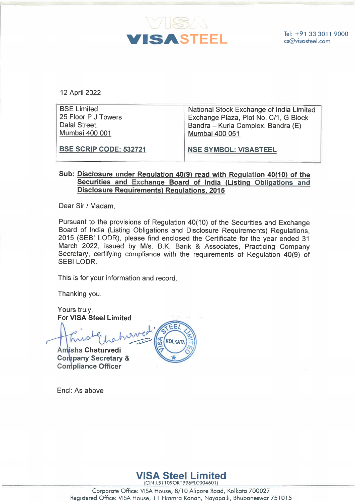

| 12 April 2022                                                                |                                                                                                                                           |
|------------------------------------------------------------------------------|-------------------------------------------------------------------------------------------------------------------------------------------|
| <b>BSE Limited</b><br>25 Floor P J Towers<br>Dalal Street,<br>Mumbai 400 001 | National Stock Exchange of India Limited<br>Exchange Plaza, Plot No. C/1, G Block<br>Bandra – Kurla Complex, Bandra (E)<br>Mumbai 400 051 |
| <b>BSE SCRIP CODE: 532721</b>                                                | <b>NSE SYMBOL: VISASTEEL</b>                                                                                                              |

## Sub: Disclosure under Requlation 40(9) read with Regulation 40(10) of the Securities and Exchange Board of India (Listing Obligations and Disclosure Requirements) Requlations, 2015

Dear Sir / Madam,

Pursuant to the provisions of Regulation 40(10) of the Securities and Exchange Board of India (Listing Obligations and Disclosure Requirements) Regulations, 2015 (SEB! LODR), please find enclosed the Certificate for the year ended 31 March 2022, issued by M/s. B.K. Barik & Associates, Practicing Company Secretary, certifying compliance with the requirements of Regulation 40(9) of SEBI LODR.

This is for your information and record.

Thanking you.

Yours truly, For VISA Steel Limited

EE/ **KOLKAT** 

Amisha Chaturvedi Company Secretary & Compliance Officer

Encl: As above